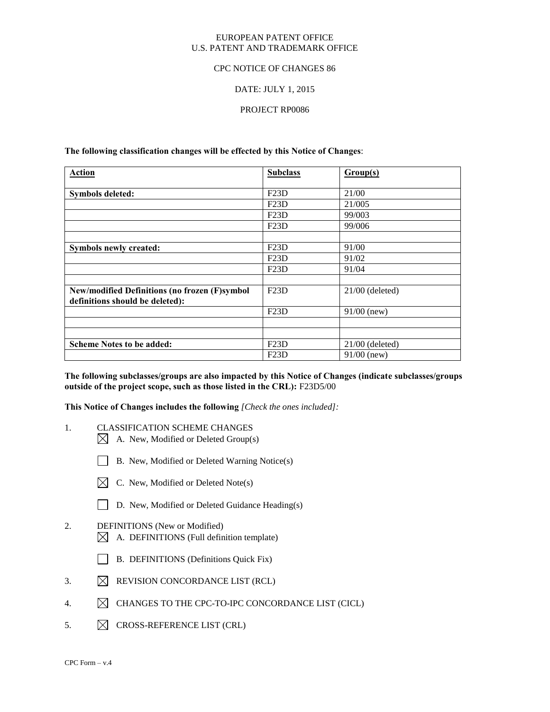### EUROPEAN PATENT OFFICE U.S. PATENT AND TRADEMARK OFFICE

### CPC NOTICE OF CHANGES 86

### DATE: JULY 1, 2015

### PROJECT RP0086

**The following classification changes will be effected by this Notice of Changes**:

| <b>Action</b>                                        | <b>Subclass</b> | Group(s)          |
|------------------------------------------------------|-----------------|-------------------|
|                                                      |                 |                   |
| <b>Symbols deleted:</b>                              | F23D            | 21/00             |
|                                                      | F23D            | 21/005            |
|                                                      | F23D            | 99/003            |
|                                                      | F23D            | 99/006            |
|                                                      |                 |                   |
| Symbols newly created:                               | F23D            | 91/00             |
|                                                      | F23D            | 91/02             |
|                                                      | F23D            | 91/04             |
|                                                      |                 |                   |
| <b>New/modified Definitions (no frozen (F)symbol</b> | F23D            | $21/00$ (deleted) |
| definitions should be deleted):                      |                 |                   |
|                                                      | F23D            | $91/00$ (new)     |
|                                                      |                 |                   |
|                                                      |                 |                   |
| <b>Scheme Notes to be added:</b>                     | F23D            | $21/00$ (deleted) |
|                                                      | F23D            | $91/00$ (new)     |

**The following subclasses/groups are also impacted by this Notice of Changes (indicate subclasses/groups outside of the project scope, such as those listed in the CRL):** F23D5/00

**This Notice of Changes includes the following** *[Check the ones included]:*

- 1. CLASSIFICATION SCHEME CHANGES
	- $\boxtimes$  A. New, Modified or Deleted Group(s)
	- B. New, Modified or Deleted Warning Notice(s)
	- $\boxtimes$  C. New, Modified or Deleted Note(s)
	- D. New, Modified or Deleted Guidance Heading(s)
- 2. DEFINITIONS (New or Modified)  $\boxtimes$  A. DEFINITIONS (Full definition template)
	- B. DEFINITIONS (Definitions Quick Fix)
- 3.  $\boxtimes$  REVISION CONCORDANCE LIST (RCL)
- 4.  $\boxtimes$  CHANGES TO THE CPC-TO-IPC CONCORDANCE LIST (CICL)
- 5.  $\boxtimes$  CROSS-REFERENCE LIST (CRL)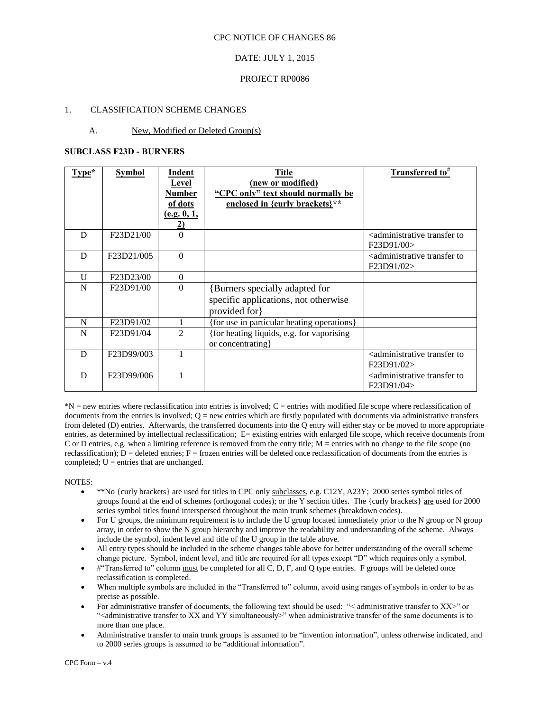### DATE: JULY 1, 2015

#### PROJECT RP0086

### 1. CLASSIFICATION SCHEME CHANGES

### A. New, Modified or Deleted Group(s)

### **SUBCLASS F23D - BURNERS**

| Type* | <b>Symbol</b>                        | <u>Indent</u><br>Level<br><b>Number</b><br>of dots<br>(e.g. 0, 1,<br>2) | <b>Title</b><br>(new or modified)<br>"CPC only" text should normally be<br>enclosed in {curly brackets}** | <b>Transferred</b> to <sup>#</sup>                                  |
|-------|--------------------------------------|-------------------------------------------------------------------------|-----------------------------------------------------------------------------------------------------------|---------------------------------------------------------------------|
| D     | F23D21/00                            | $\Omega$                                                                |                                                                                                           | <administrative to<br="" transfer="">F23D91/00&gt;</administrative> |
| D     | F <sub>23</sub> D <sub>21</sub> /005 | $\Omega$                                                                |                                                                                                           | <administrative to<br="" transfer="">F23D91/02&gt;</administrative> |
| U     | F23D23/00                            | $\Omega$                                                                |                                                                                                           |                                                                     |
| N     | F23D91/00                            | $\Omega$                                                                | <b>{Burners specially adapted for</b><br>specific applications, not otherwise<br>provided for             |                                                                     |
| N     | F23D91/02                            |                                                                         | {for use in particular heating operations}                                                                |                                                                     |
| N     | F23D91/04                            | $\mathfrak{D}$                                                          | {for heating liquids, e.g. for vaporising<br>or concentrating}                                            |                                                                     |
| D     | F <sub>23</sub> D <sub>99</sub> /003 |                                                                         |                                                                                                           | <administrative to<br="" transfer="">F23D91/02&gt;</administrative> |
| D     | F23D99/006                           |                                                                         |                                                                                                           | <administrative to<br="" transfer="">F23D91/04&gt;</administrative> |

\*N = new entries where reclassification into entries is involved; C = entries with modified file scope where reclassification of documents from the entries is involved;  $Q =$  new entries which are firstly populated with documents via administrative transfers from deleted (D) entries. Afterwards, the transferred documents into the Q entry will either stay or be moved to more appropriate entries, as determined by intellectual reclassification; E= existing entries with enlarged file scope, which receive documents from C or D entries, e.g. when a limiting reference is removed from the entry title; M = entries with no change to the file scope (no reclassification);  $D =$  deleted entries;  $F =$  frozen entries will be deleted once reclassification of documents from the entries is completed;  $U =$  entries that are unchanged.

- \*\*No {curly brackets} are used for titles in CPC only subclasses, e.g. C12Y, A23Y; 2000 series symbol titles of groups found at the end of schemes (orthogonal codes); or the Y section titles. The {curly brackets} are used for 2000 series symbol titles found interspersed throughout the main trunk schemes (breakdown codes).
- For U groups, the minimum requirement is to include the U group located immediately prior to the N group or N group array, in order to show the N group hierarchy and improve the readability and understanding of the scheme. Always include the symbol, indent level and title of the U group in the table above.
- All entry types should be included in the scheme changes table above for better understanding of the overall scheme change picture. Symbol, indent level, and title are required for all types except "D" which requires only a symbol.
- #"Transferred to" column must be completed for all C, D, F, and Q type entries. F groups will be deleted once reclassification is completed.
- When multiple symbols are included in the "Transferred to" column, avoid using ranges of symbols in order to be as precise as possible.
- For administrative transfer of documents, the following text should be used: "< administrative transfer to XX>" or "<administrative transfer to XX and YY simultaneously>" when administrative transfer of the same documents is to more than one place.
- Administrative transfer to main trunk groups is assumed to be "invention information", unless otherwise indicated, and to 2000 series groups is assumed to be "additional information".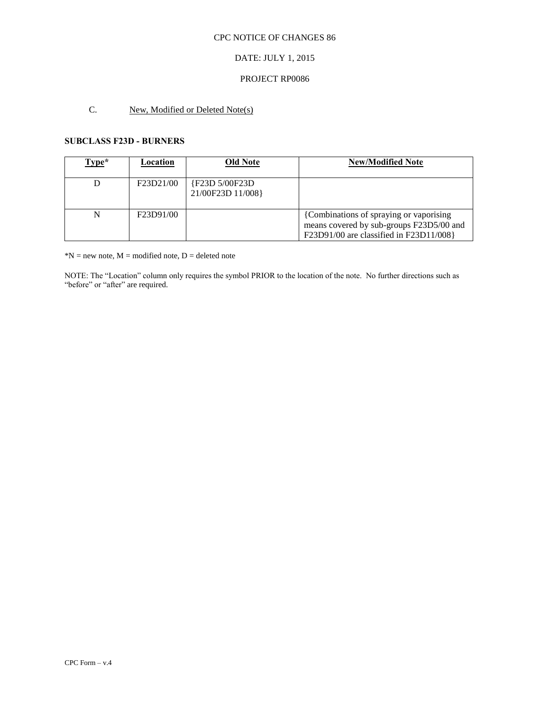### CPC NOTICE OF CHANGES 86

# DATE: JULY 1, 2015

### PROJECT RP0086

# C. New, Modified or Deleted Note(s)

### **SUBCLASS F23D - BURNERS**

| Type* | Location  | <b>Old Note</b>                     | <b>New/Modified Note</b>                                                                                                        |
|-------|-----------|-------------------------------------|---------------------------------------------------------------------------------------------------------------------------------|
|       | F23D21/00 | {F23D 5/00F23D<br>21/00F23D 11/008} |                                                                                                                                 |
|       | F23D91/00 |                                     | {Combinations of spraying or vaporising}<br>means covered by sub-groups F23D5/00 and<br>F23D91/00 are classified in F23D11/008} |

 $N = new note, M = modified note, D = deleted note$ 

NOTE: The "Location" column only requires the symbol PRIOR to the location of the note. No further directions such as "before" or "after" are required.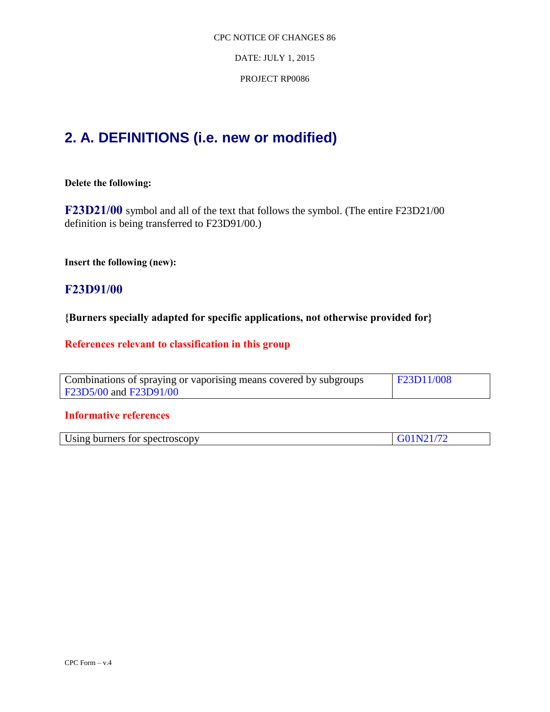DATE: JULY 1, 2015

PROJECT RP0086

# **2. A. DEFINITIONS (i.e. new or modified)**

# **Delete the following:**

**F23D21/00** symbol and all of the text that follows the symbol. (The entire F23D21/00 definition is being transferred to F23D91/00.)

**Insert the following (new):** 

# **F23D91/00**

**{Burners specially adapted for specific applications, not otherwise provided for}**

# **References relevant to classification in this group**

| Combinations of spraying or vaporising means covered by subgroups | <b>F23D11/008</b> |
|-------------------------------------------------------------------|-------------------|
| F23D5/00 and F23D91/00                                            |                   |

# **Informative references**

| Using burners for spectroscopy | G01N21/72 |
|--------------------------------|-----------|
|                                |           |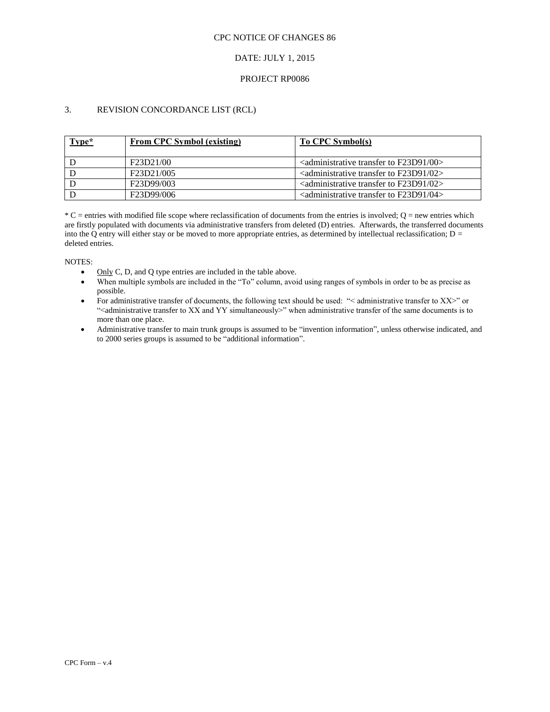#### CPC NOTICE OF CHANGES 86

### DATE: JULY 1, 2015

### PROJECT RP0086

# 3. REVISION CONCORDANCE LIST (RCL)

| Type* | <b>From CPC Symbol (existing)</b> | To CPC Symbol(s)                                                             |
|-------|-----------------------------------|------------------------------------------------------------------------------|
|       | F23D21/00                         | $\alpha$ <administrative 00="" f23d91="" to="" transfer=""></administrative> |
|       | F23D21/005                        | $\alpha$ <administrative 02="" f23d91="" to="" transfer=""></administrative> |
|       | F23D99/003                        | $\alpha$ <administrative 02="" f23d91="" to="" transfer=""></administrative> |
|       | F23D99/006                        | $\alpha$ <administrative 04="" f23d91="" to="" transfer=""></administrative> |

 $*C$  = entries with modified file scope where reclassification of documents from the entries is involved;  $Q$  = new entries which are firstly populated with documents via administrative transfers from deleted (D) entries. Afterwards, the transferred documents into the Q entry will either stay or be moved to more appropriate entries, as determined by intellectual reclassification;  $D =$ deleted entries.

- $\bullet$  Only C, D, and Q type entries are included in the table above.
- When multiple symbols are included in the "To" column, avoid using ranges of symbols in order to be as precise as possible.
- For administrative transfer of documents, the following text should be used: "< administrative transfer to XX>" or "<administrative transfer to XX and YY simultaneously>" when administrative transfer of the same documents is to more than one place.
- Administrative transfer to main trunk groups is assumed to be "invention information", unless otherwise indicated, and to 2000 series groups is assumed to be "additional information".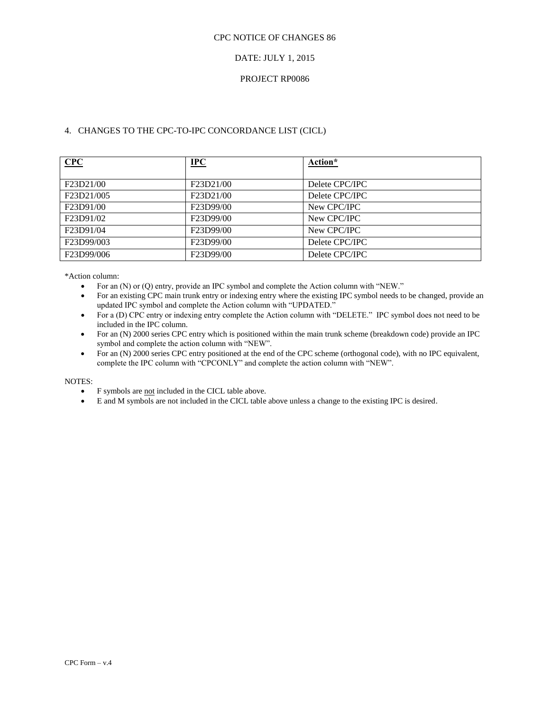### DATE: JULY 1, 2015

### PROJECT RP0086

### 4. CHANGES TO THE CPC-TO-IPC CONCORDANCE LIST (CICL)

| CPC                                             | $IPC$                               | Action*        |
|-------------------------------------------------|-------------------------------------|----------------|
|                                                 |                                     |                |
| F23D21/00                                       | F23D21/00                           | Delete CPC/IPC |
| F23D21/005                                      | F <sub>23</sub> D <sub>21</sub> /00 | Delete CPC/IPC |
| F23D91/00                                       | F <sub>23</sub> D <sub>99</sub> /00 | New CPC/IPC    |
| F <sub>23</sub> D <sub>91</sub> /0 <sub>2</sub> | F23D99/00                           | New CPC/IPC    |
| F <sub>23</sub> D <sub>91</sub> /04             | F <sub>23</sub> D <sub>99</sub> /00 | New CPC/IPC    |
| F23D99/003                                      | F <sub>23</sub> D <sub>99</sub> /00 | Delete CPC/IPC |
| F23D99/006                                      | F <sub>23</sub> D <sub>99</sub> /00 | Delete CPC/IPC |

\*Action column:

- For an (N) or (Q) entry, provide an IPC symbol and complete the Action column with "NEW."
- For an existing CPC main trunk entry or indexing entry where the existing IPC symbol needs to be changed, provide an updated IPC symbol and complete the Action column with "UPDATED."
- For a (D) CPC entry or indexing entry complete the Action column with "DELETE." IPC symbol does not need to be included in the IPC column.
- For an (N) 2000 series CPC entry which is positioned within the main trunk scheme (breakdown code) provide an IPC symbol and complete the action column with "NEW".
- For an (N) 2000 series CPC entry positioned at the end of the CPC scheme (orthogonal code), with no IPC equivalent, complete the IPC column with "CPCONLY" and complete the action column with "NEW".

- F symbols are not included in the CICL table above.
- E and M symbols are not included in the CICL table above unless a change to the existing IPC is desired.